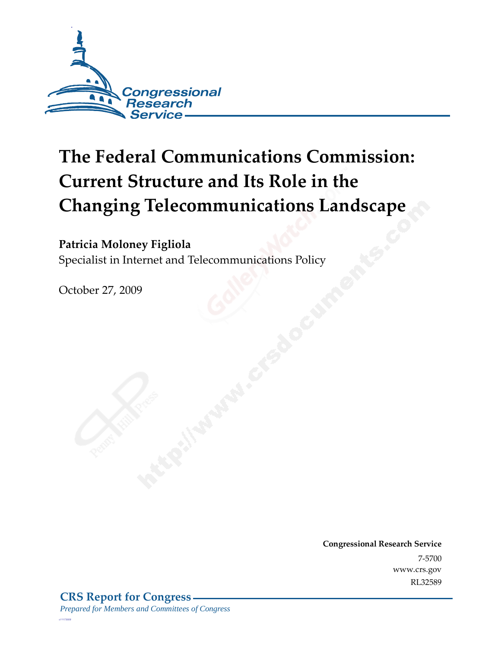

# **The Federal Communications Commission: Current Structure and Its Role in the Changing Telecommunications Landscape**

#### **Patricia Moloney Figliola**

Specialist in Internet and Telecommunications Policy

October 27, 2009

**Congressional Research Service** 7-5700 www.crs.gov RL32589

*c11173008*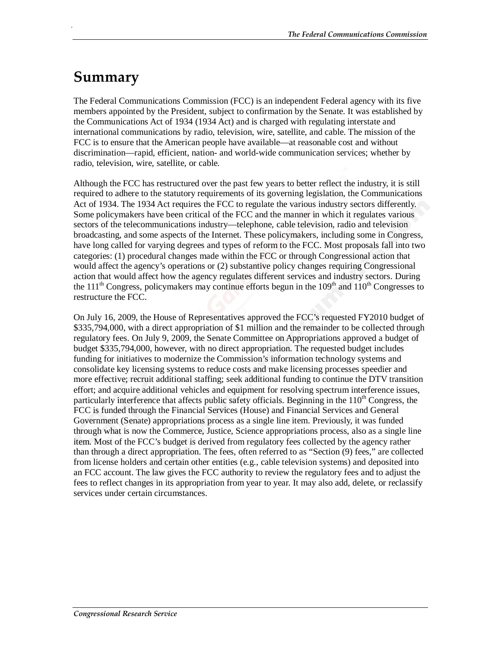## **Summary**

.

The Federal Communications Commission (FCC) is an independent Federal agency with its five members appointed by the President, subject to confirmation by the Senate. It was established by the Communications Act of 1934 (1934 Act) and is charged with regulating interstate and international communications by radio, television, wire, satellite, and cable. The mission of the FCC is to ensure that the American people have available—at reasonable cost and without discrimination—rapid, efficient, nation- and world-wide communication services; whether by radio, television, wire, satellite, or cable.

Although the FCC has restructured over the past few years to better reflect the industry, it is still required to adhere to the statutory requirements of its governing legislation, the Communications Act of 1934. The 1934 Act requires the FCC to regulate the various industry sectors differently. Some policymakers have been critical of the FCC and the manner in which it regulates various sectors of the telecommunications industry—telephone, cable television, radio and television broadcasting, and some aspects of the Internet. These policymakers, including some in Congress, have long called for varying degrees and types of reform to the FCC. Most proposals fall into two categories: (1) procedural changes made within the FCC or through Congressional action that would affect the agency's operations or (2) substantive policy changes requiring Congressional action that would affect how the agency regulates different services and industry sectors. During the 111<sup>th</sup> Congress, policymakers may continue efforts begun in the  $109<sup>th</sup>$  and  $110<sup>th</sup>$  Congresses to restructure the FCC.

On July 16, 2009, the House of Representatives approved the FCC's requested FY2010 budget of \$335,794,000, with a direct appropriation of \$1 million and the remainder to be collected through regulatory fees. On July 9, 2009, the Senate Committee on Appropriations approved a budget of budget \$335,794,000, however, with no direct appropriation. The requested budget includes funding for initiatives to modernize the Commission's information technology systems and consolidate key licensing systems to reduce costs and make licensing processes speedier and more effective; recruit additional staffing; seek additional funding to continue the DTV transition effort; and acquire additional vehicles and equipment for resolving spectrum interference issues, particularly interference that affects public safety officials. Beginning in the  $110<sup>th</sup>$  Congress, the FCC is funded through the Financial Services (House) and Financial Services and General Government (Senate) appropriations process as a single line item. Previously, it was funded through what is now the Commerce, Justice, Science appropriations process, also as a single line item. Most of the FCC's budget is derived from regulatory fees collected by the agency rather than through a direct appropriation. The fees, often referred to as "Section (9) fees," are collected from license holders and certain other entities (e.g., cable television systems) and deposited into an FCC account. The law gives the FCC authority to review the regulatory fees and to adjust the fees to reflect changes in its appropriation from year to year. It may also add, delete, or reclassify services under certain circumstances.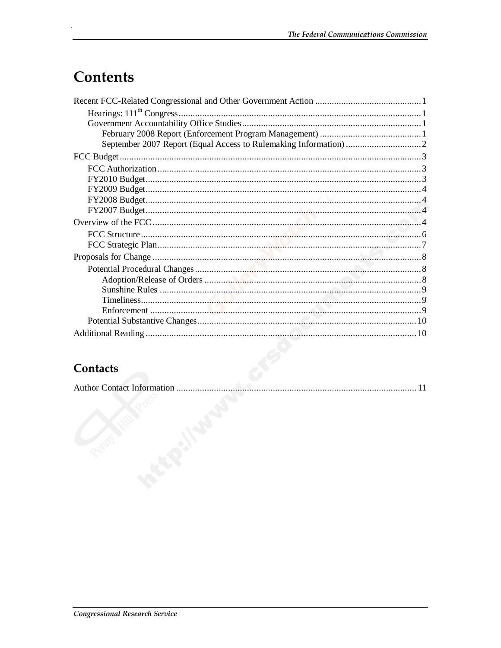## **Contents**

### Contacts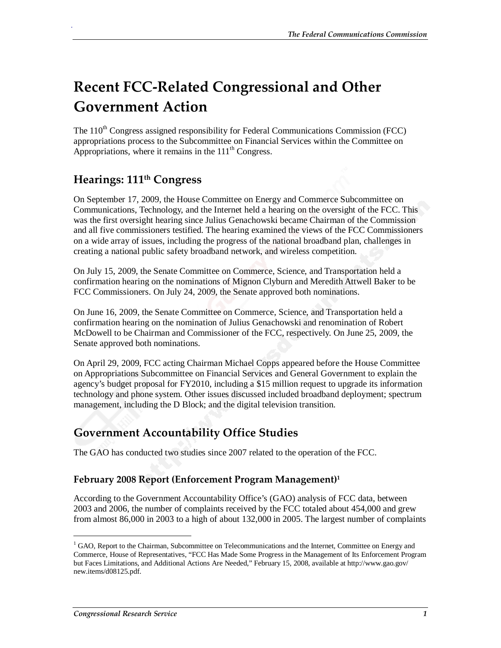## **Recent FCC-Related Congressional and Other Government Action**

The  $110<sup>th</sup>$  Congress assigned responsibility for Federal Communications Commission (FCC) appropriations process to the Subcommittee on Financial Services within the Committee on Appropriations, where it remains in the  $111<sup>th</sup>$  Congress.

#### **Hearings: 111th Congress**

.

On September 17, 2009, the House Committee on Energy and Commerce Subcommittee on Communications, Technology, and the Internet held a hearing on the oversight of the FCC. This was the first oversight hearing since Julius Genachowski became Chairman of the Commission and all five commissioners testified. The hearing examined the views of the FCC Commissioners on a wide array of issues, including the progress of the national broadband plan, challenges in creating a national public safety broadband network, and wireless competition.

On July 15, 2009, the Senate Committee on Commerce, Science, and Transportation held a confirmation hearing on the nominations of Mignon Clyburn and Meredith Attwell Baker to be FCC Commissioners. On July 24, 2009, the Senate approved both nominations.

On June 16, 2009, the Senate Committee on Commerce, Science, and Transportation held a confirmation hearing on the nomination of Julius Genachowski and renomination of Robert McDowell to be Chairman and Commissioner of the FCC, respectively. On June 25, 2009, the Senate approved both nominations.

On April 29, 2009, FCC acting Chairman Michael Copps appeared before the House Committee on Appropriations Subcommittee on Financial Services and General Government to explain the agency's budget proposal for FY2010, including a \$15 million request to upgrade its information technology and phone system. Other issues discussed included broadband deployment; spectrum management, including the D Block; and the digital television transition.

### **Government Accountability Office Studies**

The GAO has conducted two studies since 2007 related to the operation of the FCC.

#### **February 2008 Report (Enforcement Program Management)1**

According to the Government Accountability Office's (GAO) analysis of FCC data, between 2003 and 2006, the number of complaints received by the FCC totaled about 454,000 and grew from almost 86,000 in 2003 to a high of about 132,000 in 2005. The largest number of complaints

<sup>&</sup>lt;sup>1</sup> GAO, Report to the Chairman, Subcommittee on Telecommunications and the Internet, Committee on Energy and Commerce, House of Representatives, "FCC Has Made Some Progress in the Management of Its Enforcement Program but Faces Limitations, and Additional Actions Are Needed," February 15, 2008, available at http://www.gao.gov/ new.items/d08125.pdf.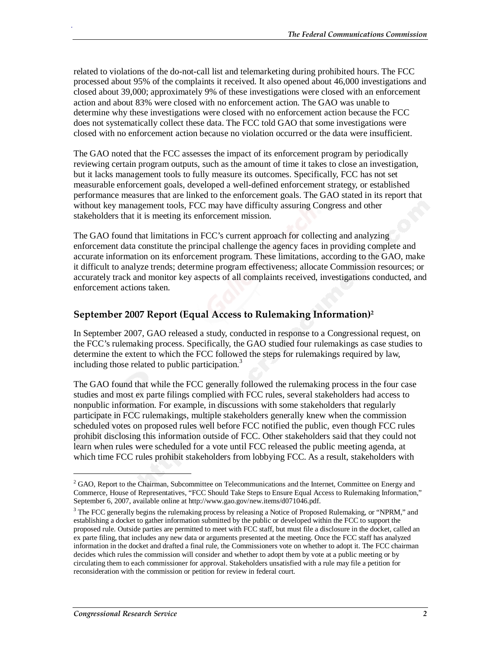related to violations of the do-not-call list and telemarketing during prohibited hours. The FCC processed about 95% of the complaints it received. It also opened about 46,000 investigations and closed about 39,000; approximately 9% of these investigations were closed with an enforcement action and about 83% were closed with no enforcement action. The GAO was unable to determine why these investigations were closed with no enforcement action because the FCC does not systematically collect these data. The FCC told GAO that some investigations were closed with no enforcement action because no violation occurred or the data were insufficient.

The GAO noted that the FCC assesses the impact of its enforcement program by periodically reviewing certain program outputs, such as the amount of time it takes to close an investigation, but it lacks management tools to fully measure its outcomes. Specifically, FCC has not set measurable enforcement goals, developed a well-defined enforcement strategy, or established performance measures that are linked to the enforcement goals. The GAO stated in its report that without key management tools, FCC may have difficulty assuring Congress and other stakeholders that it is meeting its enforcement mission.

The GAO found that limitations in FCC's current approach for collecting and analyzing enforcement data constitute the principal challenge the agency faces in providing complete and accurate information on its enforcement program. These limitations, according to the GAO, make it difficult to analyze trends; determine program effectiveness; allocate Commission resources; or accurately track and monitor key aspects of all complaints received, investigations conducted, and enforcement actions taken.

#### **September 2007 Report (Equal Access to Rulemaking Information)2**

In September 2007, GAO released a study, conducted in response to a Congressional request, on the FCC's rulemaking process. Specifically, the GAO studied four rulemakings as case studies to determine the extent to which the FCC followed the steps for rulemakings required by law, including those related to public participation.<sup>3</sup>

The GAO found that while the FCC generally followed the rulemaking process in the four case studies and most ex parte filings complied with FCC rules, several stakeholders had access to nonpublic information. For example, in discussions with some stakeholders that regularly participate in FCC rulemakings, multiple stakeholders generally knew when the commission scheduled votes on proposed rules well before FCC notified the public, even though FCC rules prohibit disclosing this information outside of FCC. Other stakeholders said that they could not learn when rules were scheduled for a vote until FCC released the public meeting agenda, at which time FCC rules prohibit stakeholders from lobbying FCC. As a result, stakeholders with

1

.

<sup>&</sup>lt;sup>2</sup> GAO, Report to the Chairman, Subcommittee on Telecommunications and the Internet, Committee on Energy and Commerce, House of Representatives, "FCC Should Take Steps to Ensure Equal Access to Rulemaking Information," September 6, 2007, available online at http://www.gao.gov/new.items/d071046.pdf.

<sup>&</sup>lt;sup>3</sup> The FCC generally begins the rulemaking process by releasing a Notice of Proposed Rulemaking, or "NPRM," and establishing a docket to gather information submitted by the public or developed within the FCC to support the proposed rule. Outside parties are permitted to meet with FCC staff, but must file a disclosure in the docket, called an ex parte filing, that includes any new data or arguments presented at the meeting. Once the FCC staff has analyzed information in the docket and drafted a final rule, the Commissioners vote on whether to adopt it. The FCC chairman decides which rules the commission will consider and whether to adopt them by vote at a public meeting or by circulating them to each commissioner for approval. Stakeholders unsatisfied with a rule may file a petition for reconsideration with the commission or petition for review in federal court.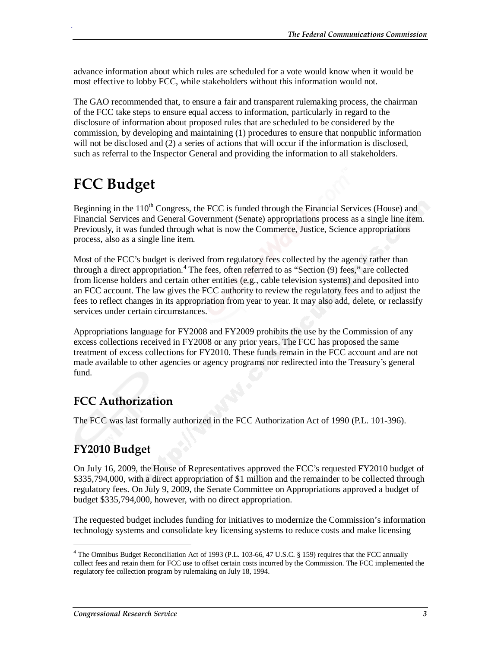advance information about which rules are scheduled for a vote would know when it would be most effective to lobby FCC, while stakeholders without this information would not.

The GAO recommended that, to ensure a fair and transparent rulemaking process, the chairman of the FCC take steps to ensure equal access to information, particularly in regard to the disclosure of information about proposed rules that are scheduled to be considered by the commission, by developing and maintaining (1) procedures to ensure that nonpublic information will not be disclosed and (2) a series of actions that will occur if the information is disclosed, such as referral to the Inspector General and providing the information to all stakeholders.

## **FCC Budget**

.

Beginning in the  $110<sup>th</sup>$  Congress, the FCC is funded through the Financial Services (House) and Financial Services and General Government (Senate) appropriations process as a single line item. Previously, it was funded through what is now the Commerce, Justice, Science appropriations process, also as a single line item.

Most of the FCC's budget is derived from regulatory fees collected by the agency rather than through a direct appropriation.<sup>4</sup> The fees, often referred to as "Section (9) fees," are collected from license holders and certain other entities (e.g., cable television systems) and deposited into an FCC account. The law gives the FCC authority to review the regulatory fees and to adjust the fees to reflect changes in its appropriation from year to year. It may also add, delete, or reclassify services under certain circumstances.

Appropriations language for FY2008 and FY2009 prohibits the use by the Commission of any excess collections received in FY2008 or any prior years. The FCC has proposed the same treatment of excess collections for FY2010. These funds remain in the FCC account and are not made available to other agencies or agency programs nor redirected into the Treasury's general fund.

### **FCC Authorization**

The FCC was last formally authorized in the FCC Authorization Act of 1990 (P.L. 101-396).

### **FY2010 Budget**

1

On July 16, 2009, the House of Representatives approved the FCC's requested FY2010 budget of \$335,794,000, with a direct appropriation of \$1 million and the remainder to be collected through regulatory fees. On July 9, 2009, the Senate Committee on Appropriations approved a budget of budget \$335,794,000, however, with no direct appropriation.

The requested budget includes funding for initiatives to modernize the Commission's information technology systems and consolidate key licensing systems to reduce costs and make licensing

<sup>&</sup>lt;sup>4</sup> The Omnibus Budget Reconciliation Act of 1993 (P.L. 103-66, 47 U.S.C. § 159) requires that the FCC annually collect fees and retain them for FCC use to offset certain costs incurred by the Commission. The FCC implemented the regulatory fee collection program by rulemaking on July 18, 1994.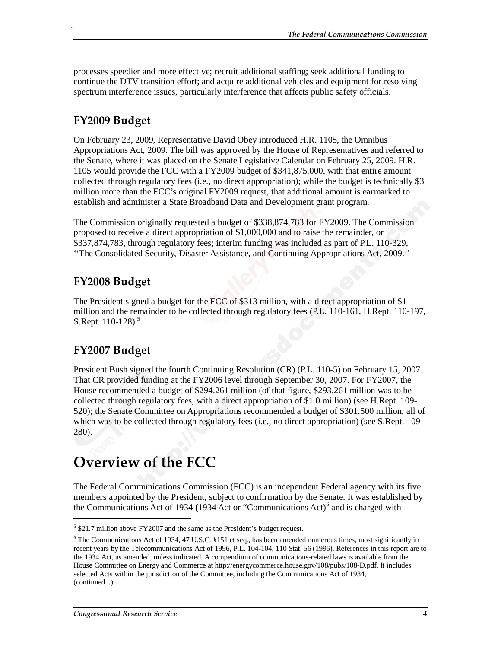processes speedier and more effective; recruit additional staffing; seek additional funding to continue the DTV transition effort; and acquire additional vehicles and equipment for resolving spectrum interference issues, particularly interference that affects public safety officials.

### **FY2009 Budget**

.

On February 23, 2009, Representative David Obey introduced H.R. 1105, the Omnibus Appropriations Act, 2009. The bill was approved by the House of Representatives and referred to the Senate, where it was placed on the Senate Legislative Calendar on February 25, 2009. H.R. 1105 would provide the FCC with a FY2009 budget of \$341,875,000, with that entire amount collected through regulatory fees (i.e., no direct appropriation); while the budget is technically \$3 million more than the FCC's original FY2009 request, that additional amount is earmarked to establish and administer a State Broadband Data and Development grant program.

The Commission originally requested a budget of \$338,874,783 for FY2009. The Commission proposed to receive a direct appropriation of \$1,000,000 and to raise the remainder, or \$337,874,783, through regulatory fees; interim funding was included as part of P.L. 110-329, ''The Consolidated Security, Disaster Assistance, and Continuing Appropriations Act, 2009.''

#### **FY2008 Budget**

The President signed a budget for the FCC of \$313 million, with a direct appropriation of \$1 million and the remainder to be collected through regulatory fees (P.L. 110-161, H.Rept. 110-197, S.Rept.  $110-128$ .<sup>5</sup>

### **FY2007 Budget**

President Bush signed the fourth Continuing Resolution (CR) (P.L. 110-5) on February 15, 2007. That CR provided funding at the FY2006 level through September 30, 2007. For FY2007, the House recommended a budget of \$294.261 million (of that figure, \$293.261 million was to be collected through regulatory fees, with a direct appropriation of \$1.0 million) (see H.Rept. 109- 520); the Senate Committee on Appropriations recommended a budget of \$301.500 million, all of which was to be collected through regulatory fees (i.e., no direct appropriation) (see S.Rept. 109- 280).

## **Overview of the FCC**

The Federal Communications Commission (FCC) is an independent Federal agency with its five members appointed by the President, subject to confirmation by the Senate. It was established by the Communications Act of 1934 (1934 Act or "Communications Act)<sup>6</sup> and is charged with

<sup>&</sup>lt;sup>5</sup> \$21.7 million above FY2007 and the same as the President's budget request.

 $6$  The Communications Act of 1934, 47 U.S.C. §151 et seq., has been amended numerous times, most significantly in recent years by the Telecommunications Act of 1996, P.L. 104-104, 110 Stat. 56 (1996). References in this report are to the 1934 Act, as amended, unless indicated. A compendium of communications-related laws is available from the House Committee on Energy and Commerce at http://energycommerce.house.gov/108/pubs/108-D.pdf. It includes selected Acts within the jurisdiction of the Committee, including the Communications Act of 1934, (continued...)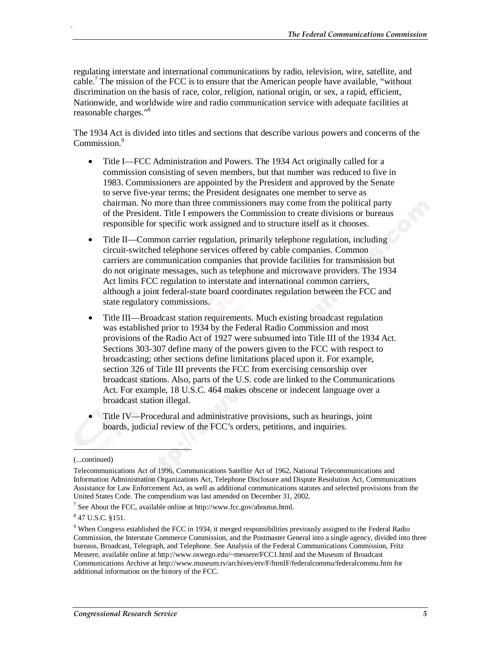regulating interstate and international communications by radio, television, wire, satellite, and cable.<sup>7</sup> The mission of the FCC is to ensure that the American people have available, "without discrimination on the basis of race, color, religion, national origin, or sex, a rapid, efficient, Nationwide, and worldwide wire and radio communication service with adequate facilities at reasonable charges."<sup>8</sup>

The 1934 Act is divided into titles and sections that describe various powers and concerns of the Commission<sup>9</sup>

- Title I—FCC Administration and Powers. The 1934 Act originally called for a commission consisting of seven members, but that number was reduced to five in 1983. Commissioners are appointed by the President and approved by the Senate to serve five-year terms; the President designates one member to serve as chairman. No more than three commissioners may come from the political party of the President. Title I empowers the Commission to create divisions or bureaus responsible for specific work assigned and to structure itself as it chooses.
- Title II—Common carrier regulation, primarily telephone regulation, including circuit-switched telephone services offered by cable companies. Common carriers are communication companies that provide facilities for transmission but do not originate messages, such as telephone and microwave providers. The 1934 Act limits FCC regulation to interstate and international common carriers, although a joint federal-state board coordinates regulation between the FCC and state regulatory commissions.
- Title III—Broadcast station requirements. Much existing broadcast regulation was established prior to 1934 by the Federal Radio Commission and most provisions of the Radio Act of 1927 were subsumed into Title III of the 1934 Act. Sections 303-307 define many of the powers given to the FCC with respect to broadcasting; other sections define limitations placed upon it. For example, section 326 of Title III prevents the FCC from exercising censorship over broadcast stations. Also, parts of the U.S. code are linked to the Communications Act. For example, 18 U.S.C. 464 makes obscene or indecent language over a broadcast station illegal.
- Title IV—Procedural and administrative provisions, such as hearings, joint boards, judicial review of the FCC's orders, petitions, and inquiries.

<u>.</u>

.

<sup>(...</sup>continued)

Telecommunications Act of 1996, Communications Satellite Act of 1962, National Telecommunications and Information Administration Organizations Act, Telephone Disclosure and Dispute Resolution Act, Communications Assistance for Law Enforcement Act, as well as additional communications statutes and selected provisions from the United States Code. The compendium was last amended on December 31, 2002.

<sup>&</sup>lt;sup>7</sup> See About the FCC, available online at http://www.fcc.gov/aboutus.html.

<sup>8</sup> 47 U.S.C. §151.

<sup>&</sup>lt;sup>9</sup> When Congress established the FCC in 1934, it merged responsibilities previously assigned to the Federal Radio Commission, the Interstate Commerce Commission, and the Postmaster General into a single agency, divided into three bureaus, Broadcast, Telegraph, and Telephone. See Analysis of the Federal Communications Commission, Fritz Messere, available online at http://www.oswego.edu/~messere/FCC1.html and the Museum of Broadcast Communications Archive at http://www.museum.tv/archives/etv/F/htmlF/federalcommu/federalcommu.htm for additional information on the history of the FCC.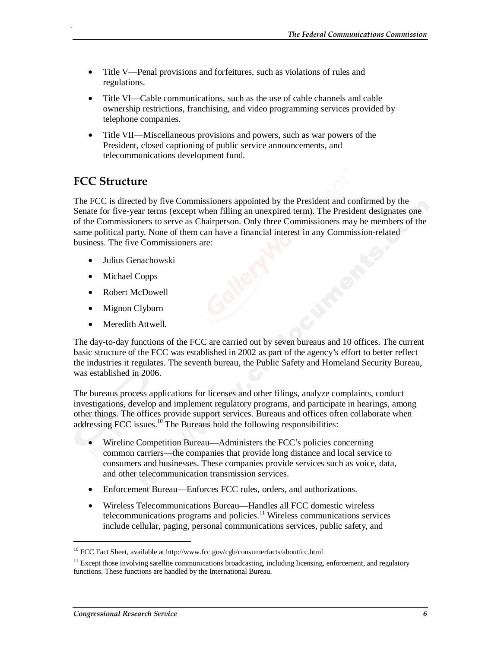- Title V—Penal provisions and forfeitures, such as violations of rules and regulations.
- Title VI—Cable communications, such as the use of cable channels and cable ownership restrictions, franchising, and video programming services provided by telephone companies.
- Title VII—Miscellaneous provisions and powers, such as war powers of the President, closed captioning of public service announcements, and telecommunications development fund.

#### **FCC Structure**

.

The FCC is directed by five Commissioners appointed by the President and confirmed by the Senate for five-year terms (except when filling an unexpired term). The President designates one of the Commissioners to serve as Chairperson. Only three Commissioners may be members of the same political party. None of them can have a financial interest in any Commission-related business. The five Commissioners are:

- Julius Genachowski
- Michael Copps
- Robert McDowell
- Mignon Clyburn
- Meredith Attwell.

The day-to-day functions of the FCC are carried out by seven bureaus and 10 offices. The current basic structure of the FCC was established in 2002 as part of the agency's effort to better reflect the industries it regulates. The seventh bureau, the Public Safety and Homeland Security Bureau, was established in 2006.

The bureaus process applications for licenses and other filings, analyze complaints, conduct investigations, develop and implement regulatory programs, and participate in hearings, among other things. The offices provide support services. Bureaus and offices often collaborate when addressing FCC issues. $10^{\circ}$ The Bureaus hold the following responsibilities:

- Wireline Competition Bureau—Administers the FCC's policies concerning common carriers—the companies that provide long distance and local service to consumers and businesses. These companies provide services such as voice, data, and other telecommunication transmission services.
- Enforcement Bureau—Enforces FCC rules, orders, and authorizations.
- Wireless Telecommunications Bureau—Handles all FCC domestic wireless telecommunications programs and policies. $11$  Wireless communications services include cellular, paging, personal communications services, public safety, and

<sup>&</sup>lt;sup>10</sup> FCC Fact Sheet, available at http://www.fcc.gov/cgb/consumerfacts/aboutfcc.html.

 $11$  Except those involving satellite communications broadcasting, including licensing, enforcement, and regulatory functions. These functions are handled by the International Bureau.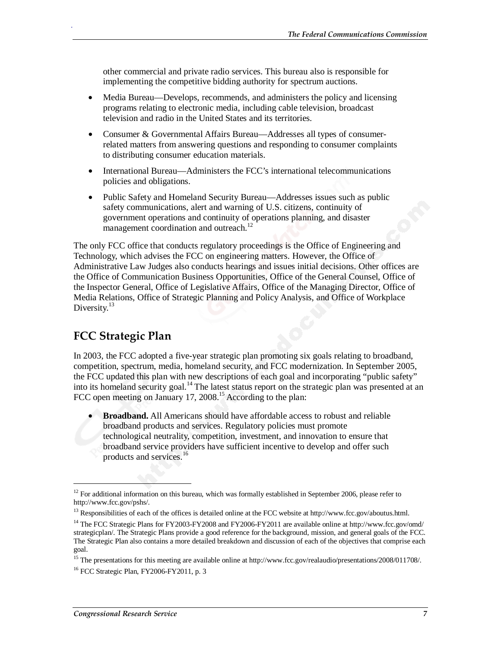other commercial and private radio services. This bureau also is responsible for implementing the competitive bidding authority for spectrum auctions.

- Media Bureau—Develops, recommends, and administers the policy and licensing programs relating to electronic media, including cable television, broadcast television and radio in the United States and its territories.
- Consumer & Governmental Affairs Bureau—Addresses all types of consumerrelated matters from answering questions and responding to consumer complaints to distributing consumer education materials.
- International Bureau—Administers the FCC's international telecommunications policies and obligations.
- Public Safety and Homeland Security Bureau—Addresses issues such as public safety communications, alert and warning of U.S. citizens, continuity of government operations and continuity of operations planning, and disaster management coordination and outreach.<sup>12</sup>

The only FCC office that conducts regulatory proceedings is the Office of Engineering and Technology, which advises the FCC on engineering matters. However, the Office of Administrative Law Judges also conducts hearings and issues initial decisions. Other offices are the Office of Communication Business Opportunities, Office of the General Counsel, Office of the Inspector General, Office of Legislative Affairs, Office of the Managing Director, Office of Media Relations, Office of Strategic Planning and Policy Analysis, and Office of Workplace Diversity.<sup>13</sup>

### **FCC Strategic Plan**

In 2003, the FCC adopted a five-year strategic plan promoting six goals relating to broadband, competition, spectrum, media, homeland security, and FCC modernization. In September 2005, the FCC updated this plan with new descriptions of each goal and incorporating "public safety" into its homeland security goal.14 The latest status report on the strategic plan was presented at an FCC open meeting on January 17, 2008.<sup>15</sup> According to the plan:

• **Broadband.** All Americans should have affordable access to robust and reliable broadband products and services. Regulatory policies must promote technological neutrality, competition, investment, and innovation to ensure that broadband service providers have sufficient incentive to develop and offer such products and services.<sup>16</sup>

<u>.</u>

.

 $12$  For additional information on this bureau, which was formally established in September 2006, please refer to http://www.fcc.gov/pshs/.

<sup>&</sup>lt;sup>13</sup> Responsibilities of each of the offices is detailed online at the FCC website at http://www.fcc.gov/aboutus.html.

<sup>&</sup>lt;sup>14</sup> The FCC Strategic Plans for FY2003-FY2008 and FY2006-FY2011 are available online at http://www.fcc.gov/omd/ strategicplan/. The Strategic Plans provide a good reference for the background, mission, and general goals of the FCC. The Strategic Plan also contains a more detailed breakdown and discussion of each of the objectives that comprise each goal.

<sup>&</sup>lt;sup>15</sup> The presentations for this meeting are available online at http://www.fcc.gov/realaudio/presentations/2008/011708/.

<sup>&</sup>lt;sup>16</sup> FCC Strategic Plan, FY2006-FY2011, p. 3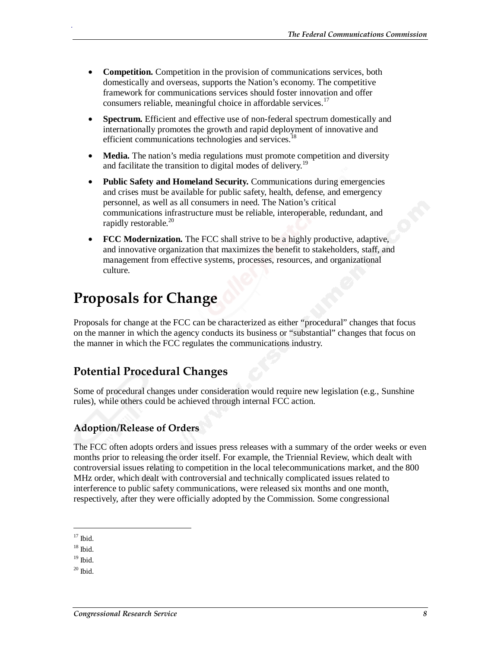- **Competition.** Competition in the provision of communications services, both domestically and overseas, supports the Nation's economy. The competitive framework for communications services should foster innovation and offer consumers reliable, meaningful choice in affordable services.<sup>17</sup>
- **Spectrum.** Efficient and effective use of non-federal spectrum domestically and internationally promotes the growth and rapid deployment of innovative and efficient communications technologies and services.<sup>18</sup>
- **Media.** The nation's media regulations must promote competition and diversity and facilitate the transition to digital modes of delivery.<sup>19</sup>
- **Public Safety and Homeland Security.** Communications during emergencies and crises must be available for public safety, health, defense, and emergency personnel, as well as all consumers in need. The Nation's critical communications infrastructure must be reliable, interoperable, redundant, and rapidly restorable. $^{20}$
- **FCC Modernization.** The FCC shall strive to be a highly productive, adaptive, and innovative organization that maximizes the benefit to stakeholders, staff, and management from effective systems, processes, resources, and organizational culture.

## **Proposals for Change**

Proposals for change at the FCC can be characterized as either "procedural" changes that focus on the manner in which the agency conducts its business or "substantial" changes that focus on the manner in which the FCC regulates the communications industry.

### **Potential Procedural Changes**

Some of procedural changes under consideration would require new legislation (e.g., Sunshine rules), while others could be achieved through internal FCC action.

#### **Adoption/Release of Orders**

The FCC often adopts orders and issues press releases with a summary of the order weeks or even months prior to releasing the order itself. For example, the Triennial Review, which dealt with controversial issues relating to competition in the local telecommunications market, and the 800 MHz order, which dealt with controversial and technically complicated issues related to interference to public safety communications, were released six months and one month, respectively, after they were officially adopted by the Commission. Some congressional

 $17$  Ibid.

<u>.</u>

.

 $18$  Ibid.

 $19$  Ibid.

 $20$  Ibid.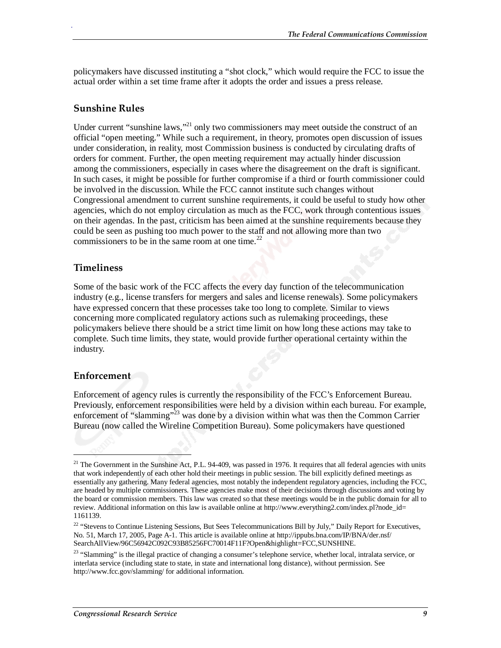policymakers have discussed instituting a "shot clock," which would require the FCC to issue the actual order within a set time frame after it adopts the order and issues a press release.

#### **Sunshine Rules**

.

Under current "sunshine laws,"<sup>21</sup> only two commissioners may meet outside the construct of an official "open meeting." While such a requirement, in theory, promotes open discussion of issues under consideration, in reality, most Commission business is conducted by circulating drafts of orders for comment. Further, the open meeting requirement may actually hinder discussion among the commissioners, especially in cases where the disagreement on the draft is significant. In such cases, it might be possible for further compromise if a third or fourth commissioner could be involved in the discussion. While the FCC cannot institute such changes without Congressional amendment to current sunshine requirements, it could be useful to study how other agencies, which do not employ circulation as much as the FCC, work through contentious issues on their agendas. In the past, criticism has been aimed at the sunshine requirements because they could be seen as pushing too much power to the staff and not allowing more than two commissioners to be in the same room at one time. $^{22}$ 

#### **Timeliness**

Some of the basic work of the FCC affects the every day function of the telecommunication industry (e.g., license transfers for mergers and sales and license renewals). Some policymakers have expressed concern that these processes take too long to complete. Similar to views concerning more complicated regulatory actions such as rulemaking proceedings, these policymakers believe there should be a strict time limit on how long these actions may take to complete. Such time limits, they state, would provide further operational certainty within the industry.

#### **Enforcement**

<u>.</u>

Enforcement of agency rules is currently the responsibility of the FCC's Enforcement Bureau. Previously, enforcement responsibilities were held by a division within each bureau. For example, enforcement of "slamming"<sup>23</sup> was done by a division within what was then the Common Carrier Bureau (now called the Wireline Competition Bureau). Some policymakers have questioned

 $21$  The Government in the Sunshine Act, P.L. 94-409, was passed in 1976. It requires that all federal agencies with units that work independently of each other hold their meetings in public session. The bill explicitly defined meetings as essentially any gathering. Many federal agencies, most notably the independent regulatory agencies, including the FCC, are headed by multiple commissioners. These agencies make most of their decisions through discussions and voting by the board or commission members. This law was created so that these meetings would be in the public domain for all to review. Additional information on this law is available online at http://www.everything2.com/index.pl?node\_id= 1161139.

<sup>&</sup>lt;sup>22</sup> "Stevens to Continue Listening Sessions, But Sees Telecommunications Bill by July," Daily Report for Executives, No. 51, March 17, 2005, Page A-1. This article is available online at http://ippubs.bna.com/IP/BNA/der.nsf/ SearchAllView/96C56942C092C93B85256FC70014F11F?Open&highlight=FCC,SUNSHINE.

<sup>&</sup>lt;sup>23</sup> "Slamming" is the illegal practice of changing a consumer's telephone service, whether local, intralata service, or interlata service (including state to state, in state and international long distance), without permission. See http://www.fcc.gov/slamming/ for additional information.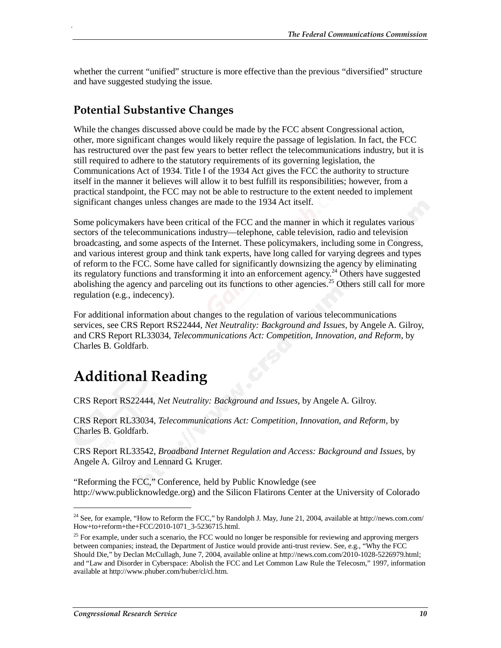whether the current "unified" structure is more effective than the previous "diversified" structure and have suggested studying the issue.

#### **Potential Substantive Changes**

.

While the changes discussed above could be made by the FCC absent Congressional action, other, more significant changes would likely require the passage of legislation. In fact, the FCC has restructured over the past few years to better reflect the telecommunications industry, but it is still required to adhere to the statutory requirements of its governing legislation, the Communications Act of 1934. Title I of the 1934 Act gives the FCC the authority to structure itself in the manner it believes will allow it to best fulfill its responsibilities; however, from a practical standpoint, the FCC may not be able to restructure to the extent needed to implement significant changes unless changes are made to the 1934 Act itself.

Some policymakers have been critical of the FCC and the manner in which it regulates various sectors of the telecommunications industry—telephone, cable television, radio and television broadcasting, and some aspects of the Internet. These policymakers, including some in Congress, and various interest group and think tank experts, have long called for varying degrees and types of reform to the FCC. Some have called for significantly downsizing the agency by eliminating its regulatory functions and transforming it into an enforcement agency.<sup>24</sup> Others have suggested abolishing the agency and parceling out its functions to other agencies.<sup>25</sup> Others still call for more regulation (e.g., indecency).

For additional information about changes to the regulation of various telecommunications services, see CRS Report RS22444, *Net Neutrality: Background and Issues*, by Angele A. Gilroy, and CRS Report RL33034, *Telecommunications Act: Competition, Innovation, and Reform*, by Charles B. Goldfarb.

## **Additional Reading**

#### CRS Report RS22444, *Net Neutrality: Background and Issues*, by Angele A. Gilroy.

CRS Report RL33034, *Telecommunications Act: Competition, Innovation, and Reform*, by Charles B. Goldfarb.

CRS Report RL33542, *Broadband Internet Regulation and Access: Background and Issues*, by Angele A. Gilroy and Lennard G. Kruger.

"Reforming the FCC," Conference, held by Public Knowledge (see http://www.publicknowledge.org) and the Silicon Flatirons Center at the University of Colorado

<sup>&</sup>lt;sup>24</sup> See, for example, "How to Reform the FCC," by Randolph J. May, June 21, 2004, available at http://news.com.com/ How+to+reform+the+FCC/2010-1071\_3-5236715.html.

 $^{25}$  For example, under such a scenario, the FCC would no longer be responsible for reviewing and approving mergers between companies; instead, the Department of Justice would provide anti-trust review. See, e.g., "Why the FCC Should Die," by Declan McCullagh, June 7, 2004, available online at http://news.com.com/2010-1028-5226979.html; and "Law and Disorder in Cyberspace: Abolish the FCC and Let Common Law Rule the Telecosm," 1997, information available at http://www.phuber.com/huber/cl/cl.htm.